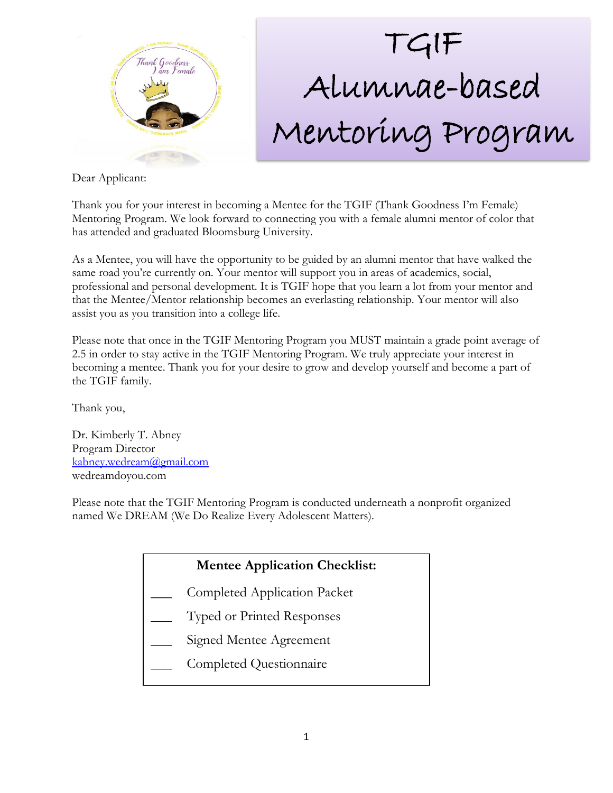

# TGIF Alumnae-based Mentoring Program

Dear Applicant:

Thank you for your interest in becoming a Mentee for the TGIF (Thank Goodness I'm Female) Mentoring Program. We look forward to connecting you with a female alumni mentor of color that has attended and graduated Bloomsburg University.

As a Mentee, you will have the opportunity to be guided by an alumni mentor that have walked the same road you're currently on. Your mentor will support you in areas of academics, social, professional and personal development. It is TGIF hope that you learn a lot from your mentor and that the Mentee/Mentor relationship becomes an everlasting relationship. Your mentor will also assist you as you transition into a college life.

Please note that once in the TGIF Mentoring Program you MUST maintain a grade point average of 2.5 in order to stay active in the TGIF Mentoring Program. We truly appreciate your interest in becoming a mentee. Thank you for your desire to grow and develop yourself and become a part of the TGIF family.

Thank you,

Dr. Kimberly T. Abney Program Director [kabney.wedream@gmail.com](mailto:kabney.wedream@gmail.com) wedreamdoyou.com

Please note that the TGIF Mentoring Program is conducted underneath a nonprofit organized named We DREAM (We Do Realize Every Adolescent Matters).

### **Mentee Application Checklist:**

- \_\_\_ Completed Application Packet
- \_\_\_ Typed or Printed Responses
- Signed Mentee Agreement
- \_\_\_ Completed Questionnaire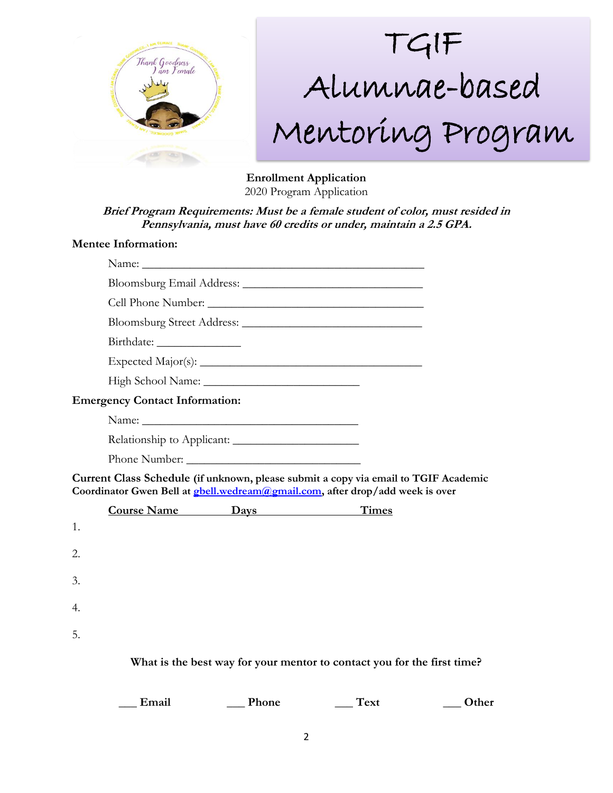

# TGIF Alumnae-based Mentoring Program

**Enrollment Application** 2020 Program Application

**Brief Program Requirements: Must be a female student of color, must resided in Pennsylvania, must have 60 credits or under, maintain a 2.5 GPA.** 

#### **Mentee Information:**

|    | <b>Emergency Contact Information:</b> |                        |                                                                                                                                                                              |  |
|----|---------------------------------------|------------------------|------------------------------------------------------------------------------------------------------------------------------------------------------------------------------|--|
|    |                                       |                        |                                                                                                                                                                              |  |
|    | Relationship to Applicant:            |                        |                                                                                                                                                                              |  |
|    |                                       |                        |                                                                                                                                                                              |  |
|    |                                       |                        |                                                                                                                                                                              |  |
|    |                                       |                        | Current Class Schedule (if unknown, please submit a copy via email to TGIF Academic<br>Coordinator Gwen Bell at <b>gbell</b> .wedream@gmail.com, after drop/add week is over |  |
|    |                                       | Course Name Days Times |                                                                                                                                                                              |  |
| 1. |                                       |                        |                                                                                                                                                                              |  |
| 2. |                                       |                        |                                                                                                                                                                              |  |
|    |                                       |                        |                                                                                                                                                                              |  |
| 3. |                                       |                        |                                                                                                                                                                              |  |
| 4. |                                       |                        |                                                                                                                                                                              |  |
| 5. |                                       |                        |                                                                                                                                                                              |  |
|    |                                       |                        | What is the best way for your mentor to contact you for the first time?                                                                                                      |  |

**\_\_\_ Email \_\_\_ Phone \_\_\_ Text \_\_\_ Other**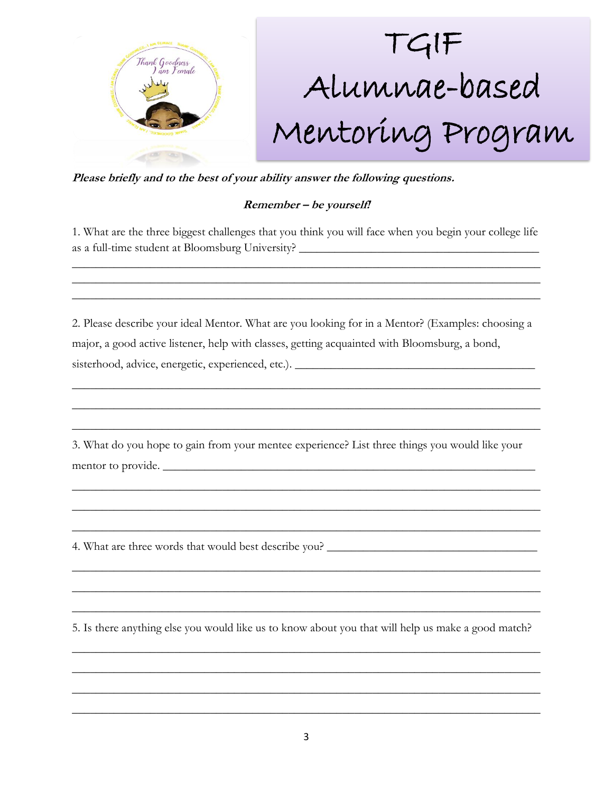

**Please briefly and to the best of your ability answer the following questions.** 

### **Remember – be yourself!**

1. What are the three biggest challenges that you think you will face when you begin your college life as a full-time student at Bloomsburg University? \_\_\_\_\_\_\_\_\_\_\_\_\_\_\_\_\_\_\_\_\_\_\_\_\_\_\_\_\_\_\_\_\_\_\_\_\_\_\_\_

\_\_\_\_\_\_\_\_\_\_\_\_\_\_\_\_\_\_\_\_\_\_\_\_\_\_\_\_\_\_\_\_\_\_\_\_\_\_\_\_\_\_\_\_\_\_\_\_\_\_\_\_\_\_\_\_\_\_\_\_\_\_\_\_\_\_\_\_\_\_\_\_\_\_\_\_\_\_ \_\_\_\_\_\_\_\_\_\_\_\_\_\_\_\_\_\_\_\_\_\_\_\_\_\_\_\_\_\_\_\_\_\_\_\_\_\_\_\_\_\_\_\_\_\_\_\_\_\_\_\_\_\_\_\_\_\_\_\_\_\_\_\_\_\_\_\_\_\_\_\_\_\_\_\_\_\_ \_\_\_\_\_\_\_\_\_\_\_\_\_\_\_\_\_\_\_\_\_\_\_\_\_\_\_\_\_\_\_\_\_\_\_\_\_\_\_\_\_\_\_\_\_\_\_\_\_\_\_\_\_\_\_\_\_\_\_\_\_\_\_\_\_\_\_\_\_\_\_\_\_\_\_\_\_\_

2. Please describe your ideal Mentor. What are you looking for in a Mentor? (Examples: choosing a major, a good active listener, help with classes, getting acquainted with Bloomsburg, a bond, sisterhood, advice, energetic, experienced, etc.). \_\_\_\_\_\_\_\_\_\_\_\_\_\_\_\_\_\_\_\_\_\_\_\_\_\_\_\_\_\_\_\_\_\_\_\_\_\_\_\_

\_\_\_\_\_\_\_\_\_\_\_\_\_\_\_\_\_\_\_\_\_\_\_\_\_\_\_\_\_\_\_\_\_\_\_\_\_\_\_\_\_\_\_\_\_\_\_\_\_\_\_\_\_\_\_\_\_\_\_\_\_\_\_\_\_\_\_\_\_\_\_\_\_\_\_\_\_\_

\_\_\_\_\_\_\_\_\_\_\_\_\_\_\_\_\_\_\_\_\_\_\_\_\_\_\_\_\_\_\_\_\_\_\_\_\_\_\_\_\_\_\_\_\_\_\_\_\_\_\_\_\_\_\_\_\_\_\_\_\_\_\_\_\_\_\_\_\_\_\_\_\_\_\_\_\_\_

\_\_\_\_\_\_\_\_\_\_\_\_\_\_\_\_\_\_\_\_\_\_\_\_\_\_\_\_\_\_\_\_\_\_\_\_\_\_\_\_\_\_\_\_\_\_\_\_\_\_\_\_\_\_\_\_\_\_\_\_\_\_\_\_\_\_\_\_\_\_\_\_\_\_\_\_\_\_

\_\_\_\_\_\_\_\_\_\_\_\_\_\_\_\_\_\_\_\_\_\_\_\_\_\_\_\_\_\_\_\_\_\_\_\_\_\_\_\_\_\_\_\_\_\_\_\_\_\_\_\_\_\_\_\_\_\_\_\_\_\_\_\_\_\_\_\_\_\_\_\_\_\_\_\_\_\_

\_\_\_\_\_\_\_\_\_\_\_\_\_\_\_\_\_\_\_\_\_\_\_\_\_\_\_\_\_\_\_\_\_\_\_\_\_\_\_\_\_\_\_\_\_\_\_\_\_\_\_\_\_\_\_\_\_\_\_\_\_\_\_\_\_\_\_\_\_\_\_\_\_\_\_\_\_\_

\_\_\_\_\_\_\_\_\_\_\_\_\_\_\_\_\_\_\_\_\_\_\_\_\_\_\_\_\_\_\_\_\_\_\_\_\_\_\_\_\_\_\_\_\_\_\_\_\_\_\_\_\_\_\_\_\_\_\_\_\_\_\_\_\_\_\_\_\_\_\_\_\_\_\_\_\_\_

\_\_\_\_\_\_\_\_\_\_\_\_\_\_\_\_\_\_\_\_\_\_\_\_\_\_\_\_\_\_\_\_\_\_\_\_\_\_\_\_\_\_\_\_\_\_\_\_\_\_\_\_\_\_\_\_\_\_\_\_\_\_\_\_\_\_\_\_\_\_\_\_\_\_\_\_\_\_

\_\_\_\_\_\_\_\_\_\_\_\_\_\_\_\_\_\_\_\_\_\_\_\_\_\_\_\_\_\_\_\_\_\_\_\_\_\_\_\_\_\_\_\_\_\_\_\_\_\_\_\_\_\_\_\_\_\_\_\_\_\_\_\_\_\_\_\_\_\_\_\_\_\_\_\_\_\_

\_\_\_\_\_\_\_\_\_\_\_\_\_\_\_\_\_\_\_\_\_\_\_\_\_\_\_\_\_\_\_\_\_\_\_\_\_\_\_\_\_\_\_\_\_\_\_\_\_\_\_\_\_\_\_\_\_\_\_\_\_\_\_\_\_\_\_\_\_\_\_\_\_\_\_\_\_\_

\_\_\_\_\_\_\_\_\_\_\_\_\_\_\_\_\_\_\_\_\_\_\_\_\_\_\_\_\_\_\_\_\_\_\_\_\_\_\_\_\_\_\_\_\_\_\_\_\_\_\_\_\_\_\_\_\_\_\_\_\_\_\_\_\_\_\_\_\_\_\_\_\_\_\_\_\_\_

\_\_\_\_\_\_\_\_\_\_\_\_\_\_\_\_\_\_\_\_\_\_\_\_\_\_\_\_\_\_\_\_\_\_\_\_\_\_\_\_\_\_\_\_\_\_\_\_\_\_\_\_\_\_\_\_\_\_\_\_\_\_\_\_\_\_\_\_\_\_\_\_\_\_\_\_\_\_

\_\_\_\_\_\_\_\_\_\_\_\_\_\_\_\_\_\_\_\_\_\_\_\_\_\_\_\_\_\_\_\_\_\_\_\_\_\_\_\_\_\_\_\_\_\_\_\_\_\_\_\_\_\_\_\_\_\_\_\_\_\_\_\_\_\_\_\_\_\_\_\_\_\_\_\_\_\_

\_\_\_\_\_\_\_\_\_\_\_\_\_\_\_\_\_\_\_\_\_\_\_\_\_\_\_\_\_\_\_\_\_\_\_\_\_\_\_\_\_\_\_\_\_\_\_\_\_\_\_\_\_\_\_\_\_\_\_\_\_\_\_\_\_\_\_\_\_\_\_\_\_\_\_\_\_\_

3. What do you hope to gain from your mentee experience? List three things you would like your mentor to provide. \_\_\_\_\_\_\_\_\_\_\_\_\_\_\_\_\_\_\_\_\_\_\_\_\_\_\_\_\_\_\_\_\_\_\_\_\_\_\_\_\_\_\_\_\_\_\_\_\_\_\_\_\_\_\_\_\_\_\_\_\_\_

4. What are three words that would best describe you? \_\_\_\_\_\_\_\_\_\_\_\_\_\_\_\_\_\_\_\_\_\_\_\_\_\_\_

5. Is there anything else you would like us to know about you that will help us make a good match?